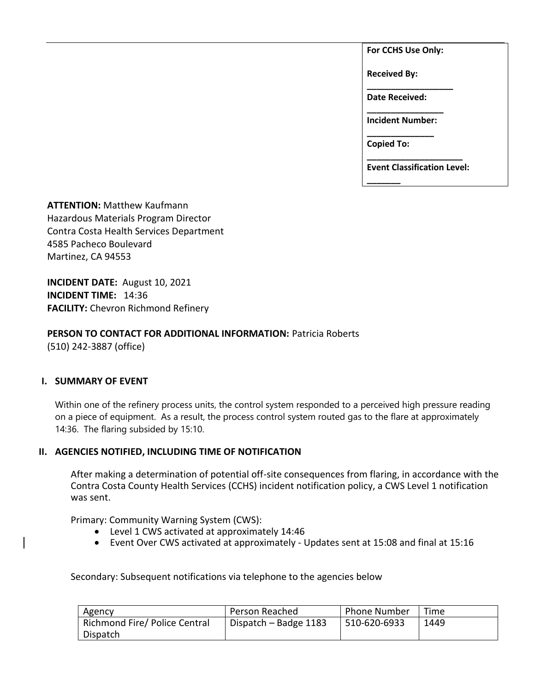**For CCHS Use Only:**

**Received By:** 

**\_\_\_\_\_\_\_\_\_\_\_\_\_\_\_\_\_\_ Date Received:** 

**\_\_\_\_\_\_\_\_\_\_\_\_\_\_\_\_ Incident Number: \_\_\_\_\_\_\_\_\_\_\_\_\_\_**

**Copied To:** 

**\_\_\_\_\_\_\_**

**\_\_\_\_\_\_\_\_\_\_\_\_\_\_\_\_\_\_\_\_ Event Classification Level:** 

**ATTENTION:** Matthew Kaufmann Hazardous Materials Program Director Contra Costa Health Services Department 4585 Pacheco Boulevard Martinez, CA 94553

**INCIDENT DATE:** August 10, 2021 **INCIDENT TIME:** 14:36 **FACILITY:** Chevron Richmond Refinery

**PERSON TO CONTACT FOR ADDITIONAL INFORMATION:** Patricia Roberts (510) 242-3887 (office)

# **I. SUMMARY OF EVENT**

Within one of the refinery process units, the control system responded to a perceived high pressure reading on a piece of equipment. As a result, the process control system routed gas to the flare at approximately 14:36. The flaring subsided by 15:10.

# **II. AGENCIES NOTIFIED, INCLUDING TIME OF NOTIFICATION**

After making a determination of potential off-site consequences from flaring, in accordance with the Contra Costa County Health Services (CCHS) incident notification policy, a CWS Level 1 notification was sent.

Primary: Community Warning System (CWS):

- Level 1 CWS activated at approximately 14:46
- Event Over CWS activated at approximately Updates sent at 15:08 and final at 15:16

Secondary: Subsequent notifications via telephone to the agencies below

| Agency                                    | Person Reached        | <b>Phone Number</b> | Time |
|-------------------------------------------|-----------------------|---------------------|------|
| Richmond Fire/ Police Central<br>Dispatch | Dispatch - Badge 1183 | 510-620-6933        | 1449 |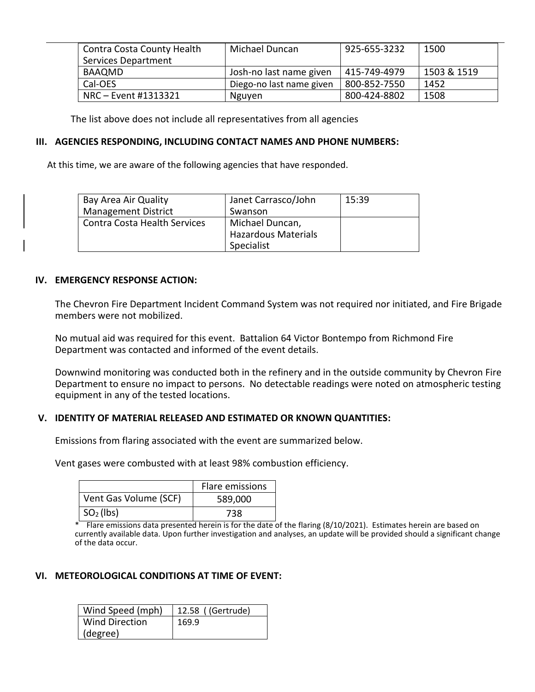| Contra Costa County Health | <b>Michael Duncan</b>    | 925-655-3232 | 1500        |
|----------------------------|--------------------------|--------------|-------------|
| Services Department        |                          |              |             |
| BAAQMD                     | Josh-no last name given  | 415-749-4979 | 1503 & 1519 |
| Cal-OES                    | Diego-no last name given | 800-852-7550 | 1452        |
| NRC – Event #1313321       | Nguyen                   | 800-424-8802 | 1508        |

The list above does not include all representatives from all agencies

## **III. AGENCIES RESPONDING, INCLUDING CONTACT NAMES AND PHONE NUMBERS:**

At this time, we are aware of the following agencies that have responded.

| Bay Area Air Quality         | Janet Carrasco/John | 15:39 |
|------------------------------|---------------------|-------|
| <b>Management District</b>   | Swanson             |       |
| Contra Costa Health Services | Michael Duncan,     |       |
|                              | Hazardous Materials |       |
|                              | Specialist          |       |

#### **IV. EMERGENCY RESPONSE ACTION:**

The Chevron Fire Department Incident Command System was not required nor initiated, and Fire Brigade members were not mobilized.

No mutual aid was required for this event. Battalion 64 Victor Bontempo from Richmond Fire Department was contacted and informed of the event details.

Downwind monitoring was conducted both in the refinery and in the outside community by Chevron Fire Department to ensure no impact to persons. No detectable readings were noted on atmospheric testing equipment in any of the tested locations.

#### **V. IDENTITY OF MATERIAL RELEASED AND ESTIMATED OR KNOWN QUANTITIES:**

Emissions from flaring associated with the event are summarized below.

Vent gases were combusted with at least 98% combustion efficiency.

|                       | Flare emissions |
|-----------------------|-----------------|
| Vent Gas Volume (SCF) | 589,000         |
| $\mid SO2(\mid bs)$   | 738             |

\* Flare emissions data presented herein is for the date of the flaring (8/10/2021). Estimates herein are based on currently available data. Upon further investigation and analyses, an update will be provided should a significant change of the data occur.

## **VI. METEOROLOGICAL CONDITIONS AT TIME OF EVENT:**

| Wind Speed (mph)      | 12.58 ((Gertrude) |
|-----------------------|-------------------|
| <b>Wind Direction</b> | 169.9             |
| (degree)              |                   |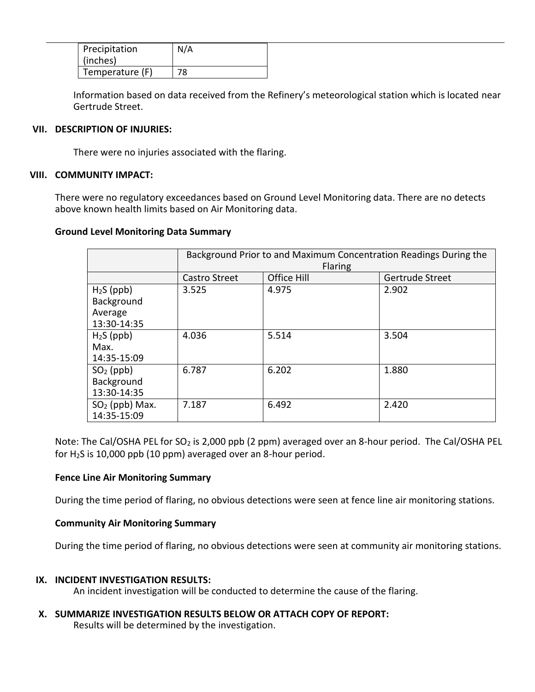| Precipitation<br>(inches) | N/A |
|---------------------------|-----|
| Temperature (F)           | 78  |

Information based on data received from the Refinery's meteorological station which is located near Gertrude Street.

## **VII. DESCRIPTION OF INJURIES:**

There were no injuries associated with the flaring.

#### **VIII. COMMUNITY IMPACT:**

There were no regulatory exceedances based on Ground Level Monitoring data. There are no detects above known health limits based on Air Monitoring data.

#### **Ground Level Monitoring Data Summary**

|                                                     | Background Prior to and Maximum Concentration Readings During the<br>Flaring |             |                 |
|-----------------------------------------------------|------------------------------------------------------------------------------|-------------|-----------------|
|                                                     | <b>Castro Street</b>                                                         | Office Hill | Gertrude Street |
| $H2S$ (ppb)<br>Background<br>Average<br>13:30-14:35 | 3.525                                                                        | 4.975       | 2.902           |
| $H2S$ (ppb)<br>Max.<br>14:35-15:09                  | 4.036                                                                        | 5.514       | 3.504           |
| $SO2$ (ppb)<br>Background<br>13:30-14:35            | 6.787                                                                        | 6.202       | 1.880           |
| $SO2$ (ppb) Max.<br>14:35-15:09                     | 7.187                                                                        | 6.492       | 2.420           |

Note: The Cal/OSHA PEL for SO<sub>2</sub> is 2,000 ppb (2 ppm) averaged over an 8-hour period. The Cal/OSHA PEL for  $H<sub>2</sub>S$  is 10,000 ppb (10 ppm) averaged over an 8-hour period.

# **Fence Line Air Monitoring Summary**

During the time period of flaring, no obvious detections were seen at fence line air monitoring stations.

# **Community Air Monitoring Summary**

During the time period of flaring, no obvious detections were seen at community air monitoring stations.

#### **IX. INCIDENT INVESTIGATION RESULTS:**

An incident investigation will be conducted to determine the cause of the flaring.

**X. SUMMARIZE INVESTIGATION RESULTS BELOW OR ATTACH COPY OF REPORT:**

Results will be determined by the investigation.